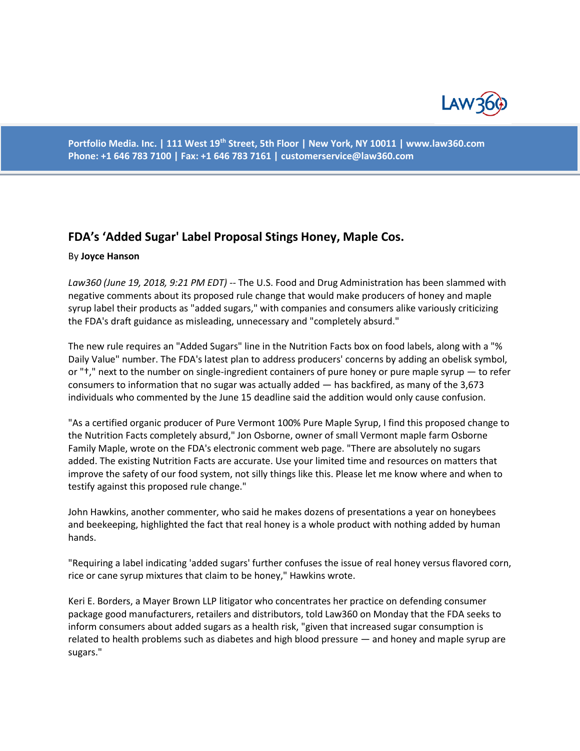

**Portfolio Media. Inc. | 111 West 19th Street, 5th Floor | New York, NY 10011 | www.law360.com Phone: +1 646 783 7100 | Fax: +1 646 783 7161 | [customerservice@law360.com](mailto:customerservice@law360.com)**

## **FDA's 'Added Sugar' Label Proposal Stings Honey, Maple Cos.**

## By **Joyce Hanson**

*Law360 (June 19, 2018, 9:21 PM EDT) --* The U.S. Food and Drug Administration has been slammed with negative comments about its proposed rule change that would make producers of honey and maple syrup label their products as "added sugars," with companies and consumers alike variously criticizing the FDA's draft guidance as misleading, unnecessary and "completely absurd."

The new rule requires an "Added Sugars" line in the Nutrition Facts box on food labels, along with a "% Daily Value" number. The FDA's latest plan to address producers' concerns by adding an obelisk symbol, or "†," next to the number on single-ingredient containers of pure honey or pure maple syrup — to refer consumers to information that no sugar was actually added — has backfired, as many of the 3,673 individuals who commented by the June 15 deadline said the addition would only cause confusion.

"As a certified organic producer of Pure Vermont 100% Pure Maple Syrup, I find this proposed change to the Nutrition Facts completely absurd," Jon Osborne, owner of small Vermont maple farm Osborne Family Maple, wrote on the FDA's electronic comment web page. "There are absolutely no sugars added. The existing Nutrition Facts are accurate. Use your limited time and resources on matters that improve the safety of our food system, not silly things like this. Please let me know where and when to testify against this proposed rule change."

John Hawkins, another commenter, who said he makes dozens of presentations a year on honeybees and beekeeping, highlighted the fact that real honey is a whole product with nothing added by human hands.

"Requiring a label indicating 'added sugars' further confuses the issue of real honey versus flavored corn, rice or cane syrup mixtures that claim to be honey," Hawkins wrote.

Keri E. Borders, a Mayer Brown LLP litigator who concentrates her practice on defending consumer package good manufacturers, retailers and distributors, told Law360 on Monday that the FDA seeks to inform consumers about added sugars as a health risk, "given that increased sugar consumption is related to health problems such as diabetes and high blood pressure — and honey and maple syrup are sugars."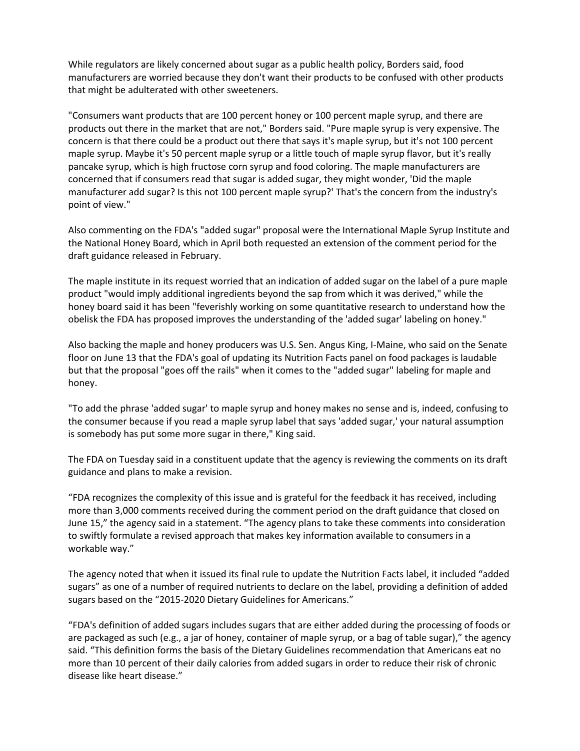While regulators are likely concerned about sugar as a public health policy, Borders said, food manufacturers are worried because they don't want their products to be confused with other products that might be adulterated with other sweeteners.

"Consumers want products that are 100 percent honey or 100 percent maple syrup, and there are products out there in the market that are not," Borders said. "Pure maple syrup is very expensive. The concern is that there could be a product out there that says it's maple syrup, but it's not 100 percent maple syrup. Maybe it's 50 percent maple syrup or a little touch of maple syrup flavor, but it's really pancake syrup, which is high fructose corn syrup and food coloring. The maple manufacturers are concerned that if consumers read that sugar is added sugar, they might wonder, 'Did the maple manufacturer add sugar? Is this not 100 percent maple syrup?' That's the concern from the industry's point of view."

Also commenting on the FDA's "added sugar" proposal were the International Maple Syrup Institute and the National Honey Board, which in April both requested an extension of the comment period for the draft guidance released in February.

The maple institute in its request worried that an indication of added sugar on the label of a pure maple product "would imply additional ingredients beyond the sap from which it was derived," while the honey board said it has been "feverishly working on some quantitative research to understand how the obelisk the FDA has proposed improves the understanding of the 'added sugar' labeling on honey."

Also backing the maple and honey producers was U.S. Sen. Angus King, I-Maine, who said on the Senate floor on June 13 that the FDA's goal of updating its Nutrition Facts panel on food packages is laudable but that the proposal "goes off the rails" when it comes to the "added sugar" labeling for maple and honey.

"To add the phrase 'added sugar' to maple syrup and honey makes no sense and is, indeed, confusing to the consumer because if you read a maple syrup label that says 'added sugar,' your natural assumption is somebody has put some more sugar in there," King said.

The FDA on Tuesday said in a constituent update that the agency is reviewing the comments on its draft guidance and plans to make a revision.

"FDA recognizes the complexity of this issue and is grateful for the feedback it has received, including more than 3,000 comments received during the comment period on the draft guidance that closed on June 15," the agency said in a statement. "The agency plans to take these comments into consideration to swiftly formulate a revised approach that makes key information available to consumers in a workable way."

The agency noted that when it issued its final rule to update the Nutrition Facts label, it included "added sugars" as one of a number of required nutrients to declare on the label, providing a definition of added sugars based on the "2015-2020 Dietary Guidelines for Americans."

"FDA's definition of added sugars includes sugars that are either added during the processing of foods or are packaged as such (e.g., a jar of honey, container of maple syrup, or a bag of table sugar)," the agency said. "This definition forms the basis of the Dietary Guidelines recommendation that Americans eat no more than 10 percent of their daily calories from added sugars in order to reduce their risk of chronic disease like heart disease."